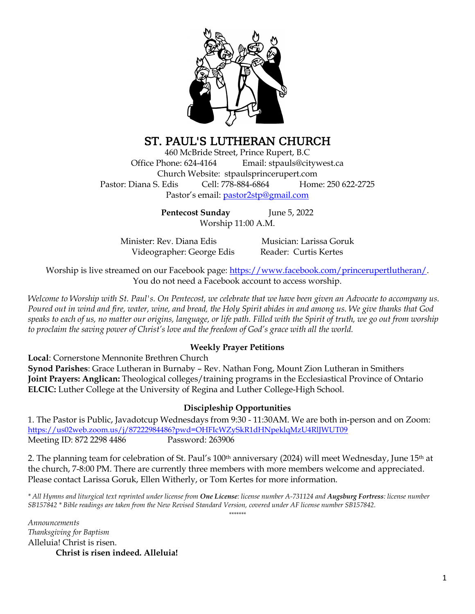

# ST. PAUL'S LUTHERAN CHURCH

460 McBride Street, Prince Rupert, B.C Office Phone: 624-4164 Email: stpauls@citywest.ca Church Website: stpaulsprincerupert.com Pastor: Diana S. Edis Cell: 778-884-6864 Home: 250 622-2725 Pastor's email: [pastor2stp@gmail.com](mailto:pastor2stp@gmail.com)

> **Pentecost Sunday** June 5, 2022 Worship 11:00 A.M.

Minister: Rev. Diana Edis Musician: Larissa Goruk Videographer: George Edis Reader: Curtis Kertes

Worship is live streamed on our Facebook page: [https://www.facebook.com/princerupertlutheran/.](https://www.facebook.com/princerupertlutheran/) You do not need a Facebook account to access worship.

*Welcome to Worship with St. Paul's. On Pentecost, we celebrate that we have been given an Advocate to accompany us. Poured out in wind and fire, water, wine, and bread, the Holy Spirit abides in and among us. We give thanks that God speaks to each of us, no matter our origins, language, or life path. Filled with the Spirit of truth, we go out from worship to proclaim the saving power of Christ's love and the freedom of God's grace with all the world.*

### **Weekly Prayer Petitions**

**Local**: Cornerstone Mennonite Brethren Church

**Synod Parishes**: Grace Lutheran in Burnaby – Rev. Nathan Fong, Mount Zion Lutheran in Smithers **Joint Prayers: Anglican:** Theological colleges/training programs in the Ecclesiastical Province of Ontario **ELCIC:** Luther College at the University of Regina and Luther College-High School.

#### **Discipleship Opportunities**

1. The Pastor is Public, Javadotcup Wednesdays from 9:30 - 11:30AM. We are both in-person and on Zoom: <https://us02web.zoom.us/j/87222984486?pwd=OHFIcWZySkR1dHNpeklqMzU4RlJWUT09> Meeting ID: 872 2298 4486 Password: 263906

2. The planning team for celebration of St. Paul's  $100<sup>th</sup>$  anniversary (2024) will meet Wednesday, June  $15<sup>th</sup>$  at the church, 7-8:00 PM. There are currently three members with more members welcome and appreciated. Please contact Larissa Goruk, Ellen Witherly, or Tom Kertes for more information.

*\* All Hymns and liturgical text reprinted under license from One License: license number A-731124 and Augsburg Fortress: license number SB157842 \* Bible readings are taken from the New Revised Standard Version, covered under AF license number SB157842. \*\*\*\*\*\*\**

*Announcements Thanksgiving for Baptism* Alleluia! Christ is risen. **Christ is risen indeed. Alleluia!**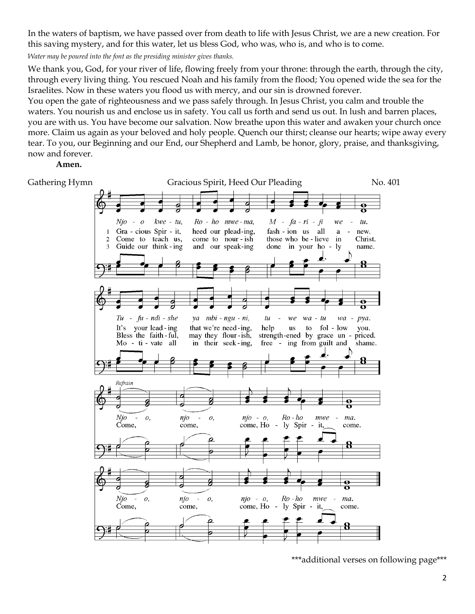In the waters of baptism, we have passed over from death to life with Jesus Christ, we are a new creation. For this saving mystery, and for this water, let us bless God, who was, who is, and who is to come.

*Water may be poured into the font as the presiding minister gives thanks.*

We thank you, God, for your river of life, flowing freely from your throne: through the earth, through the city, through every living thing. You rescued Noah and his family from the flood; You opened wide the sea for the Israelites. Now in these waters you flood us with mercy, and our sin is drowned forever.

You open the gate of righteousness and we pass safely through. In Jesus Christ, you calm and trouble the waters. You nourish us and enclose us in safety. You call us forth and send us out. In lush and barren places, you are with us. You have become our salvation. Now breathe upon this water and awaken your church once more. Claim us again as your beloved and holy people. Quench our thirst; cleanse our hearts; wipe away every tear. To you, our Beginning and our End, our Shepherd and Lamb, be honor, glory, praise, and thanksgiving, now and forever.

#### **Amen.**



<sup>\*\*\*</sup>additional verses on following page\*\*\*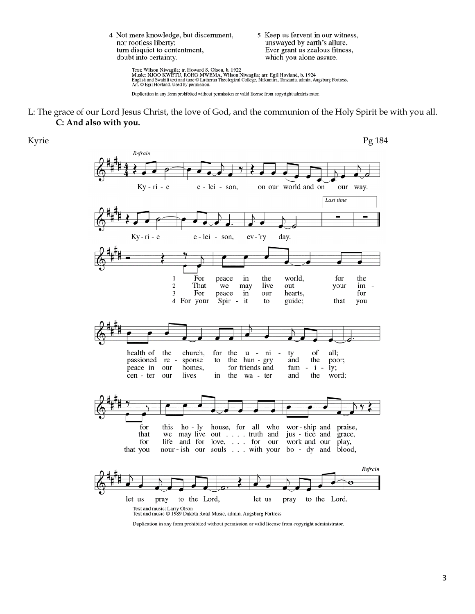4 Not mere knowledge, but discernment, nor rootless liberty; turn disquiet to contentment, doubt into certainty.

5 Keep us fervent in our witness, unswayed by earth's allure. Ever grant us zealous fitness, which you alone assure.

Text: Wilson Niwagila; tr. Howard S. Olson, b. 1922<br>Music: NJOO KWETU, ROHO MWEMA, Wilson Niwagila; arr. Egil Hovland, b. 1924<br>English and Swahili text and tune © Lutheran Theological College, Makumira, Tanzania, admin. Au

Duplication in any form prohibited without permission or valid license from copyright administrator.

L: The grace of our Lord Jesus Christ, the love of God, and the communion of the Holy Spirit be with you all. **C: And also with you.**



Duplication in any form prohibited without permission or valid license from copyright administrator.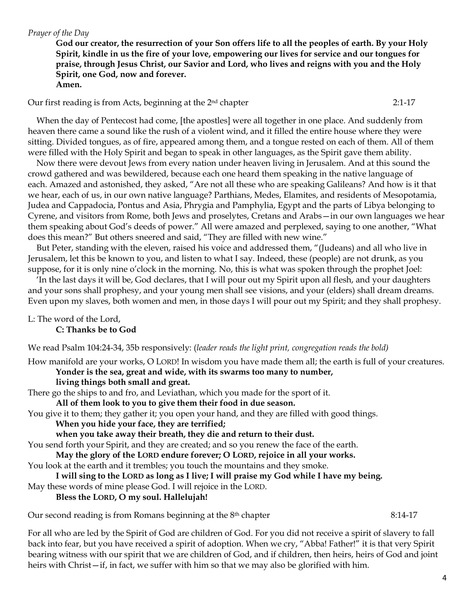#### *Prayer of the Day*

**God our creator, the resurrection of your Son offers life to all the peoples of earth. By your Holy Spirit, kindle in us the fire of your love, empowering our lives for service and our tongues for praise, through Jesus Christ, our Savior and Lord, who lives and reigns with you and the Holy Spirit, one God, now and forever. Amen.**

Our first reading is from Acts, beginning at the 2nd chapter 2:1-17

When the day of Pentecost had come, [the apostles] were all together in one place. And suddenly from heaven there came a sound like the rush of a violent wind, and it filled the entire house where they were sitting. Divided tongues, as of fire, appeared among them, and a tongue rested on each of them. All of them were filled with the Holy Spirit and began to speak in other languages, as the Spirit gave them ability.

Now there were devout Jews from every nation under heaven living in Jerusalem. And at this sound the crowd gathered and was bewildered, because each one heard them speaking in the native language of each. Amazed and astonished, they asked, "Are not all these who are speaking Galileans? And how is it that we hear, each of us, in our own native language? Parthians, Medes, Elamites, and residents of Mesopotamia, Judea and Cappadocia, Pontus and Asia, Phrygia and Pamphylia, Egypt and the parts of Libya belonging to Cyrene, and visitors from Rome, both Jews and proselytes, Cretans and Arabs—in our own languages we hear them speaking about God's deeds of power." All were amazed and perplexed, saying to one another, "What does this mean?" But others sneered and said, "They are filled with new wine."

But Peter, standing with the eleven, raised his voice and addressed them, "(Judeans) and all who live in Jerusalem, let this be known to you, and listen to what I say. Indeed, these (people) are not drunk, as you suppose, for it is only nine o'clock in the morning. No, this is what was spoken through the prophet Joel:

'In the last days it will be, God declares, that I will pour out my Spirit upon all flesh, and your daughters and your sons shall prophesy, and your young men shall see visions, and your (elders) shall dream dreams. Even upon my slaves, both women and men, in those days I will pour out my Spirit; and they shall prophesy.

L: The word of the Lord,

**C: Thanks be to God**

We read Psalm 104:24-34, 35b responsively: (*leader reads the light print, congregation reads the bold)*

How manifold are your works, O LORD! In wisdom you have made them all; the earth is full of your creatures.

**Yonder is the sea, great and wide, with its swarms too many to number, living things both small and great.**

There go the ships to and fro, and Leviathan, which you made for the sport of it.

**All of them look to you to give them their food in due season.**

You give it to them; they gather it; you open your hand, and they are filled with good things.

**When you hide your face, they are terrified;**

**when you take away their breath, they die and return to their dust.**

You send forth your Spirit, and they are created; and so you renew the face of the earth.

**May the glory of the LORD endure forever; O LORD, rejoice in all your works.**

You look at the earth and it trembles; you touch the mountains and they smoke.

**I will sing to the LORD as long as I live; I will praise my God while I have my being.** May these words of mine please God. I will rejoice in the LORD.

**Bless the LORD, O my soul. Hallelujah!**

Our second reading is from Romans beginning at the 8<sup>th</sup> chapter 8:14-17

For all who are led by the Spirit of God are children of God. For you did not receive a spirit of slavery to fall back into fear, but you have received a spirit of adoption. When we cry, "Abba! Father!" it is that very Spirit bearing witness with our spirit that we are children of God, and if children, then heirs, heirs of God and joint heirs with Christ—if, in fact, we suffer with him so that we may also be glorified with him.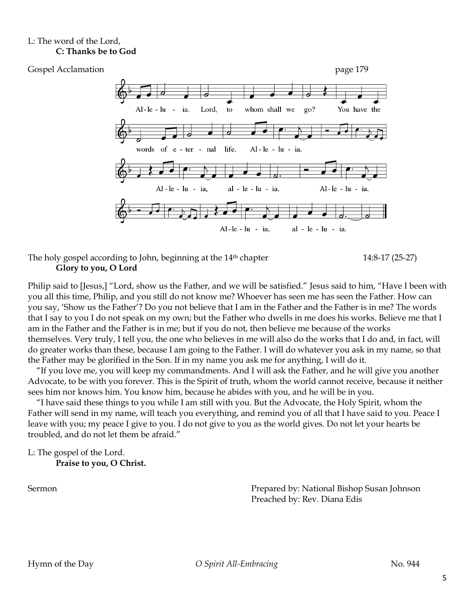# L: The word of the Lord, **C: Thanks be to God**



### The holy gospel according to John, beginning at the 14<sup>th</sup> chapter 14:8-17 (25-27) **Glory to you, O Lord**

Philip said to [Jesus,] "Lord, show us the Father, and we will be satisfied." Jesus said to him, "Have I been with you all this time, Philip, and you still do not know me? Whoever has seen me has seen the Father. How can you say, 'Show us the Father'? Do you not believe that I am in the Father and the Father is in me? The words that I say to you I do not speak on my own; but the Father who dwells in me does his works. Believe me that I am in the Father and the Father is in me; but if you do not, then believe me because of the works themselves. Very truly, I tell you, the one who believes in me will also do the works that I do and, in fact, will do greater works than these, because I am going to the Father. I will do whatever you ask in my name, so that the Father may be glorified in the Son. If in my name you ask me for anything, I will do it.

"If you love me, you will keep my commandments. And I will ask the Father, and he will give you another Advocate, to be with you forever. This is the Spirit of truth, whom the world cannot receive, because it neither sees him nor knows him. You know him, because he abides with you, and he will be in you.

"I have said these things to you while I am still with you. But the Advocate, the Holy Spirit, whom the Father will send in my name, will teach you everything, and remind you of all that I have said to you. Peace I leave with you; my peace I give to you. I do not give to you as the world gives. Do not let your hearts be troubled, and do not let them be afraid."

L: The gospel of the Lord. **Praise to you, O Christ.**

Sermon **Prepared by: National Bishop Susan Johnson** Preached by: Rev. Diana Edis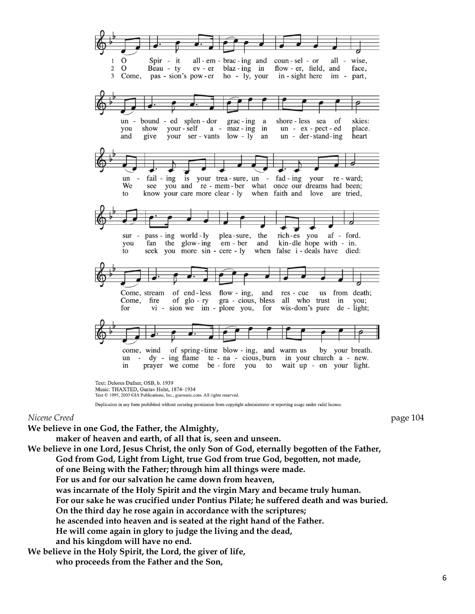

Text © 1995, 2003 GIA Publications, Inc., giamusic.com. All rights reserved.

Duplication in any form prohibited without securing permission from copyright administrator or reporting usage under valid license.

#### *Nicene Creed* page 104

**We believe in one God, the Father, the Almighty,**

**maker of heaven and earth, of all that is, seen and unseen.**

**We believe in one Lord, Jesus Christ, the only Son of God, eternally begotten of the Father, God from God, Light from Light, true God from true God, begotten, not made,** 

**of one Being with the Father; through him all things were made.** 

**For us and for our salvation he came down from heaven,** 

**was incarnate of the Holy Spirit and the virgin Mary and became truly human.**

**For our sake he was crucified under Pontius Pilate; he suffered death and was buried.**

**On the third day he rose again in accordance with the scriptures;** 

**he ascended into heaven and is seated at the right hand of the Father.**

**He will come again in glory to judge the living and the dead,** 

**and his kingdom will have no end.**

**We believe in the Holy Spirit, the Lord, the giver of life,** 

**who proceeds from the Father and the Son,**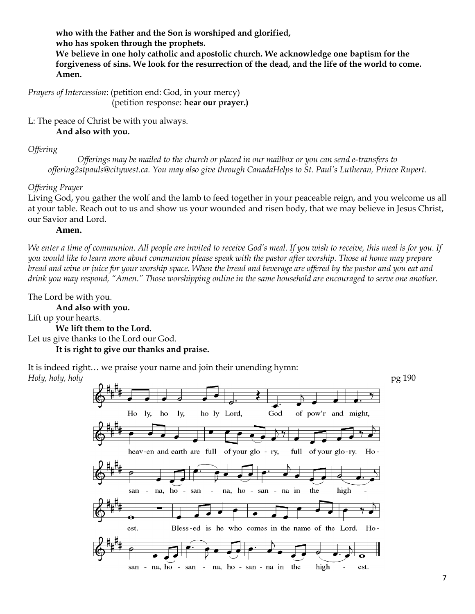**who with the Father and the Son is worshiped and glorified, who has spoken through the prophets. We believe in one holy catholic and apostolic church. We acknowledge one baptism for the forgiveness of sins. We look for the resurrection of the dead, and the life of the world to come. Amen.**

*Prayers of Intercession*: (petition end: God, in your mercy) (petition response: **hear our prayer.)**

L: The peace of Christ be with you always.

**And also with you.**

*Offering* 

*Offerings may be mailed to the church or placed in our mailbox or you can send e-transfers to offering2stpauls@citywest.ca. You may also give through CanadaHelps to St. Paul's Lutheran, Prince Rupert.*

# *Offering Prayer*

Living God, you gather the wolf and the lamb to feed together in your peaceable reign, and you welcome us all at your table. Reach out to us and show us your wounded and risen body, that we may believe in Jesus Christ, our Savior and Lord.

# **Amen.**

*We enter a time of communion. All people are invited to receive God's meal. If you wish to receive, this meal is for you. If you would like to learn more about communion please speak with the pastor after worship. Those at home may prepare bread and wine or juice for your worship space. When the bread and beverage are offered by the pastor and you eat and drink you may respond, "Amen." Those worshipping online in the same household are encouraged to serve one another.* 

The Lord be with you.

**And also with you.** Lift up your hearts. **We lift them to the Lord.** Let us give thanks to the Lord our God. **It is right to give our thanks and praise.**

It is indeed right… we praise your name and join their unending hymn: *Holy, holy, holy* pg 190

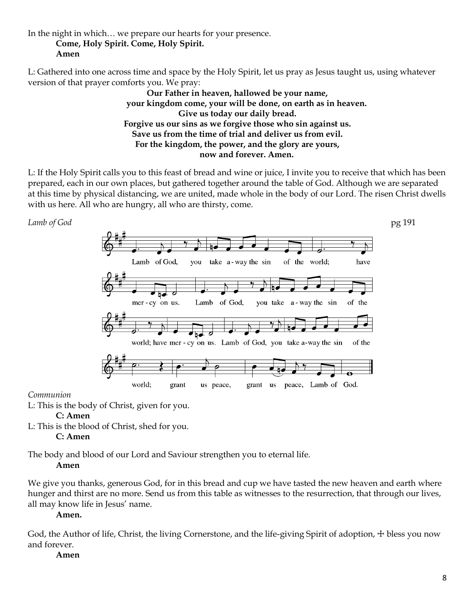In the night in which… we prepare our hearts for your presence.

**Come, Holy Spirit. Come, Holy Spirit.**

# **Amen**

L: Gathered into one across time and space by the Holy Spirit, let us pray as Jesus taught us, using whatever version of that prayer comforts you. We pray:

> **Our Father in heaven, hallowed be your name, your kingdom come, your will be done, on earth as in heaven. Give us today our daily bread. Forgive us our sins as we forgive those who sin against us. Save us from the time of trial and deliver us from evil. For the kingdom, the power, and the glory are yours, now and forever. Amen.**

L: If the Holy Spirit calls you to this feast of bread and wine or juice, I invite you to receive that which has been prepared, each in our own places, but gathered together around the table of God. Although we are separated at this time by physical distancing, we are united, made whole in the body of our Lord. The risen Christ dwells with us here. All who are hungry, all who are thirsty, come.



### *Communion*

L: This is the body of Christ, given for you.

# **C: Amen**

L: This is the blood of Christ, shed for you.

**C: Amen**

The body and blood of our Lord and Saviour strengthen you to eternal life.

# **Amen**

We give you thanks, generous God, for in this bread and cup we have tasted the new heaven and earth where hunger and thirst are no more. Send us from this table as witnesses to the resurrection, that through our lives, all may know life in Jesus' name.

**Amen.**

God, the Author of life, Christ, the living Cornerstone, and the life-giving Spirit of adoption,  $\pm$  bless you now and forever.

# **Amen**